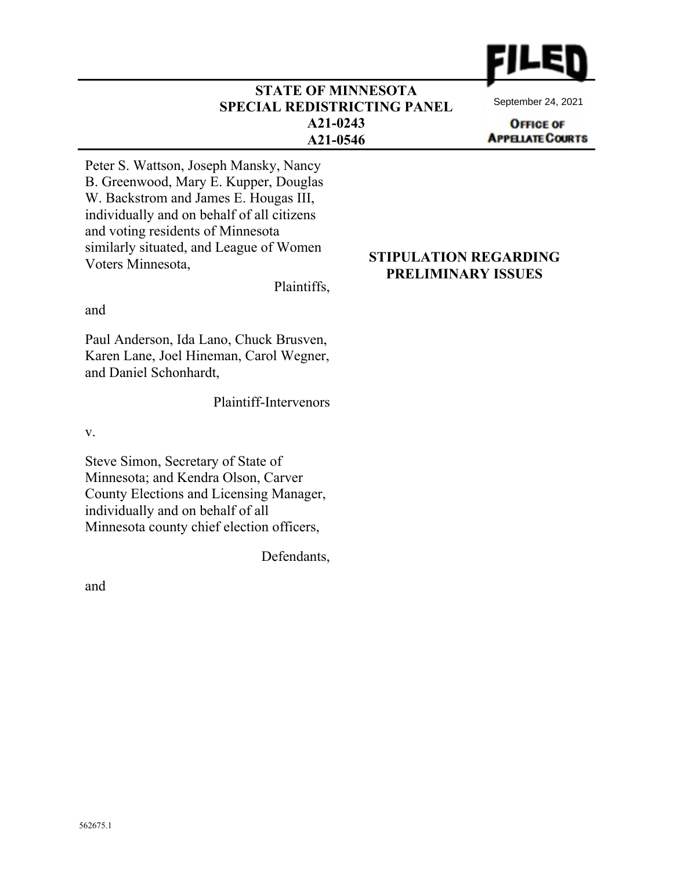

#### **STATE OF MINNESOTA SPECIAL REDISTRICTING PANEL A21-0243 A21-0546**

September 24, 2021

**OFFICE OF APPELATE COURTS** 

Peter S. Wattson, Joseph Mansky, Nancy B. Greenwood, Mary E. Kupper, Douglas W. Backstrom and James E. Hougas III, individually and on behalf of all citizens and voting residents of Minnesota similarly situated, and League of Women Voters Minnesota,

Plaintiffs,

and

Paul Anderson, Ida Lano, Chuck Brusven, Karen Lane, Joel Hineman, Carol Wegner, and Daniel Schonhardt,

Plaintiff-Intervenors

v.

Steve Simon, Secretary of State of Minnesota; and Kendra Olson, Carver County Elections and Licensing Manager, individually and on behalf of all Minnesota county chief election officers,

Defendants,

and

#### **STIPULATION REGARDING PRELIMINARY ISSUES**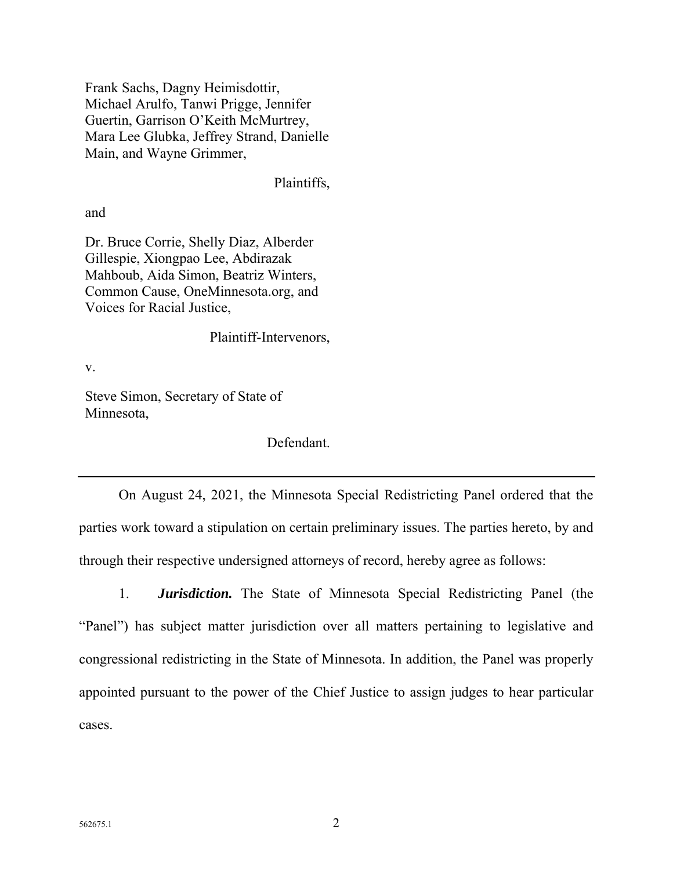Frank Sachs, Dagny Heimisdottir, Michael Arulfo, Tanwi Prigge, Jennifer Guertin, Garrison O'Keith McMurtrey, Mara Lee Glubka, Jeffrey Strand, Danielle Main, and Wayne Grimmer,

Plaintiffs,

and

Dr. Bruce Corrie, Shelly Diaz, Alberder Gillespie, Xiongpao Lee, Abdirazak Mahboub, Aida Simon, Beatriz Winters, Common Cause, OneMinnesota.org, and Voices for Racial Justice,

Plaintiff-Intervenors,

v.

Steve Simon, Secretary of State of Minnesota,

Defendant.

On August 24, 2021, the Minnesota Special Redistricting Panel ordered that the parties work toward a stipulation on certain preliminary issues. The parties hereto, by and through their respective undersigned attorneys of record, hereby agree as follows:

1. *Jurisdiction.* The State of Minnesota Special Redistricting Panel (the "Panel") has subject matter jurisdiction over all matters pertaining to legislative and congressional redistricting in the State of Minnesota. In addition, the Panel was properly appointed pursuant to the power of the Chief Justice to assign judges to hear particular cases.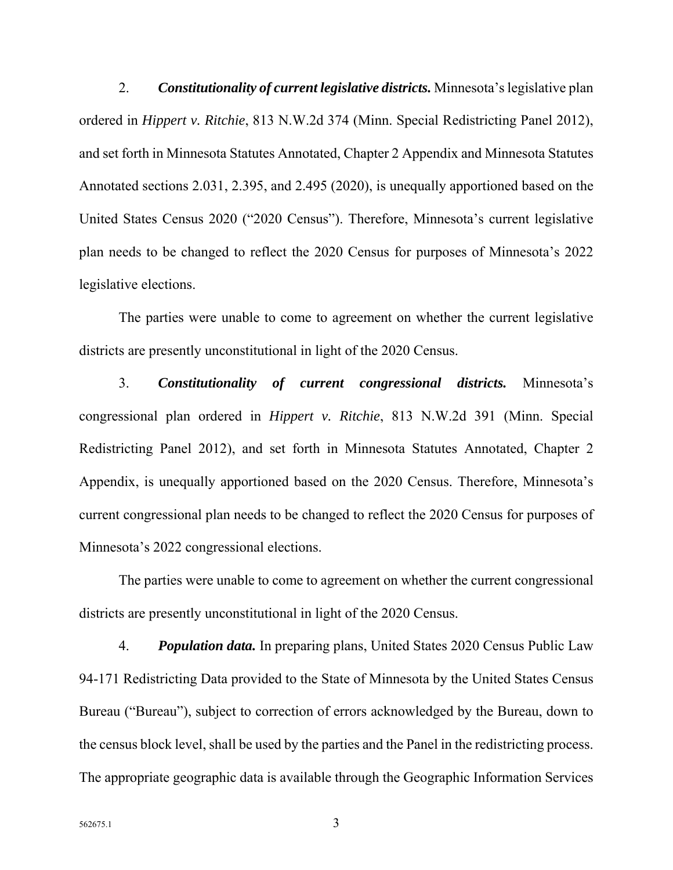2. *Constitutionality of current legislative districts.* Minnesota's legislative plan ordered in *Hippert v. Ritchie*, 813 N.W.2d 374 (Minn. Special Redistricting Panel 2012), and set forth in Minnesota Statutes Annotated, Chapter 2 Appendix and Minnesota Statutes Annotated sections 2.031, 2.395, and 2.495 (2020), is unequally apportioned based on the United States Census 2020 ("2020 Census"). Therefore, Minnesota's current legislative plan needs to be changed to reflect the 2020 Census for purposes of Minnesota's 2022 legislative elections.

The parties were unable to come to agreement on whether the current legislative districts are presently unconstitutional in light of the 2020 Census.

3. *Constitutionality of current congressional districts.* Minnesota's congressional plan ordered in *Hippert v. Ritchie*, 813 N.W.2d 391 (Minn. Special Redistricting Panel 2012), and set forth in Minnesota Statutes Annotated, Chapter 2 Appendix, is unequally apportioned based on the 2020 Census. Therefore, Minnesota's current congressional plan needs to be changed to reflect the 2020 Census for purposes of Minnesota's 2022 congressional elections.

The parties were unable to come to agreement on whether the current congressional districts are presently unconstitutional in light of the 2020 Census.

4. *Population data.* In preparing plans, United States 2020 Census Public Law 94-171 Redistricting Data provided to the State of Minnesota by the United States Census Bureau ("Bureau"), subject to correction of errors acknowledged by the Bureau, down to the census block level, shall be used by the parties and the Panel in the redistricting process. The appropriate geographic data is available through the Geographic Information Services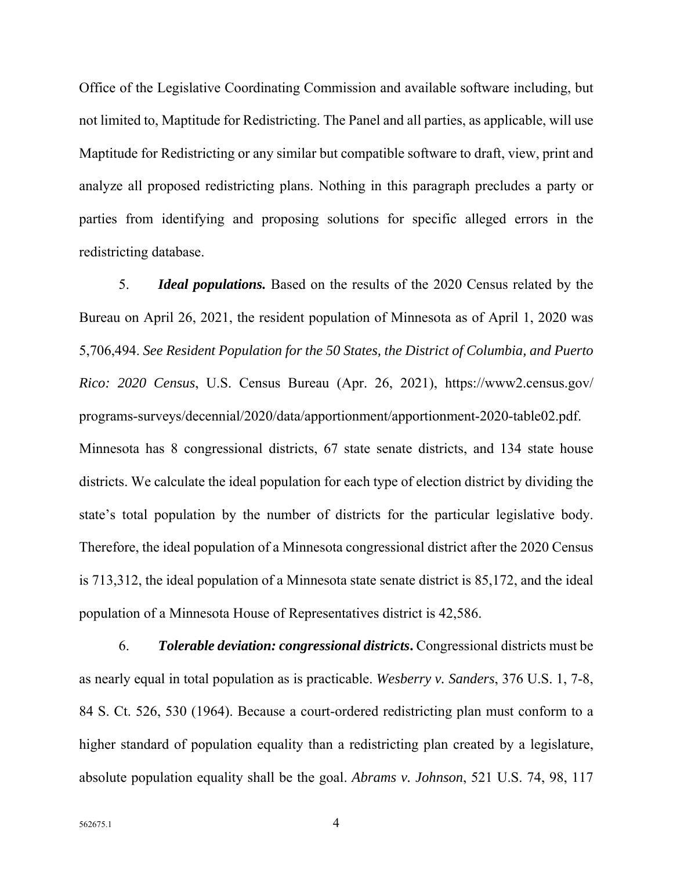Office of the Legislative Coordinating Commission and available software including, but not limited to, Maptitude for Redistricting. The Panel and all parties, as applicable, will use Maptitude for Redistricting or any similar but compatible software to draft, view, print and analyze all proposed redistricting plans. Nothing in this paragraph precludes a party or parties from identifying and proposing solutions for specific alleged errors in the redistricting database.

5. *Ideal populations.* Based on the results of the 2020 Census related by the Bureau on April 26, 2021, the resident population of Minnesota as of April 1, 2020 was 5,706,494. *See Resident Population for the 50 States, the District of Columbia, and Puerto Rico: 2020 Census*, U.S. Census Bureau (Apr. 26, 2021), https://www2.census.gov/ programs-surveys/decennial/2020/data/apportionment/apportionment-2020-table02.pdf. Minnesota has 8 congressional districts, 67 state senate districts, and 134 state house districts. We calculate the ideal population for each type of election district by dividing the state's total population by the number of districts for the particular legislative body. Therefore, the ideal population of a Minnesota congressional district after the 2020 Census is 713,312, the ideal population of a Minnesota state senate district is 85,172, and the ideal population of a Minnesota House of Representatives district is 42,586.

6. *Tolerable deviation: congressional districts***.** Congressional districts must be as nearly equal in total population as is practicable. *Wesberry v. Sanders*, 376 U.S. 1, 7-8, 84 S. Ct. 526, 530 (1964). Because a court-ordered redistricting plan must conform to a higher standard of population equality than a redistricting plan created by a legislature, absolute population equality shall be the goal. *Abrams v. Johnson*, 521 U.S. 74, 98, 117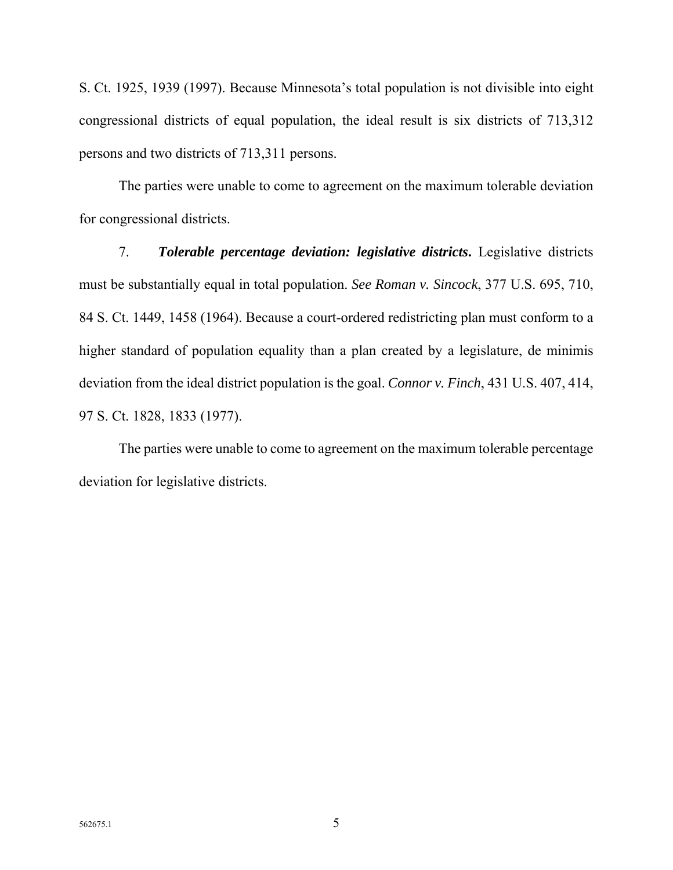S. Ct. 1925, 1939 (1997). Because Minnesota's total population is not divisible into eight congressional districts of equal population, the ideal result is six districts of 713,312 persons and two districts of 713,311 persons.

The parties were unable to come to agreement on the maximum tolerable deviation for congressional districts.

7. *Tolerable percentage deviation: legislative districts***.** Legislative districts must be substantially equal in total population. *See Roman v. Sincock*, 377 U.S. 695, 710, 84 S. Ct. 1449, 1458 (1964). Because a court-ordered redistricting plan must conform to a higher standard of population equality than a plan created by a legislature, de minimis deviation from the ideal district population is the goal. *Connor v. Finch*, 431 U.S. 407, 414, 97 S. Ct. 1828, 1833 (1977).

The parties were unable to come to agreement on the maximum tolerable percentage deviation for legislative districts.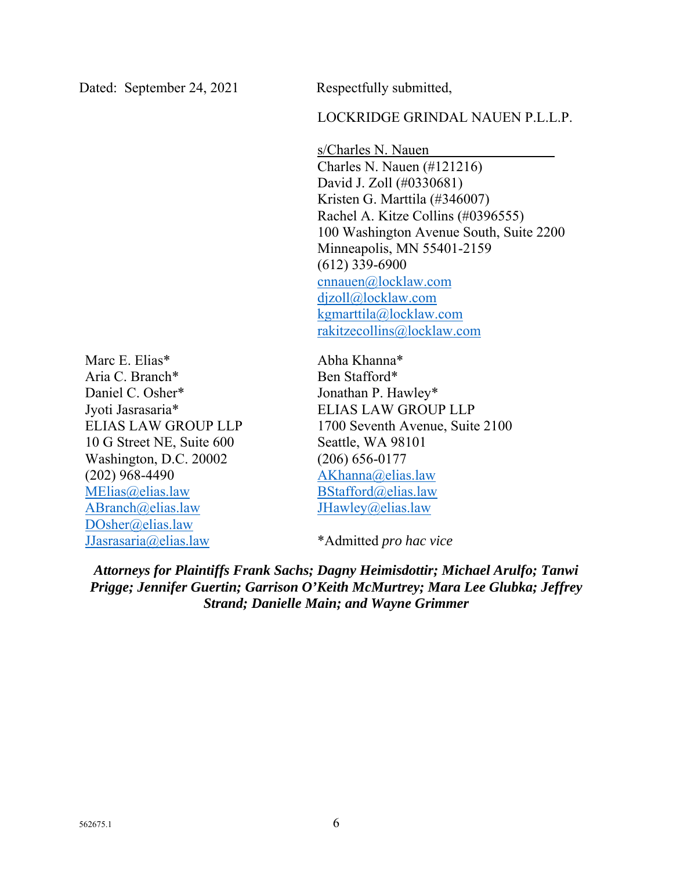### LOCKRIDGE GRINDAL NAUEN P.L.L.P.

s/Charles N. Nauen Charles N. Nauen (#121216) David J. Zoll (#0330681) Kristen G. Marttila (#346007) Rachel A. Kitze Collins (#0396555) 100 Washington Avenue South, Suite 2200 Minneapolis, MN 55401-2159 (612) 339-6900 cnnauen@locklaw.com djzoll@locklaw.com kgmarttila@locklaw.com rakitzecollins@locklaw.com

Marc E. Elias\* Aria C. Branch\* Daniel C. Osher\* Jyoti Jasrasaria\* ELIAS LAW GROUP LLP 10 G Street NE, Suite 600 Washington, D.C. 20002 (202) 968-4490 MElias@elias.law ABranch@elias.law DOsher@elias.law JJasrasaria@elias.law

Abha Khanna\* Ben Stafford\* Jonathan P. Hawley\* ELIAS LAW GROUP LLP 1700 Seventh Avenue, Suite 2100 Seattle, WA 98101 (206) 656-0177 AKhanna@elias.law BStafford@elias.law JHawley@elias.law

\*Admitted *pro hac vice*

*Attorneys for Plaintiffs Frank Sachs; Dagny Heimisdottir; Michael Arulfo; Tanwi Prigge; Jennifer Guertin; Garrison O'Keith McMurtrey; Mara Lee Glubka; Jeffrey Strand; Danielle Main; and Wayne Grimmer*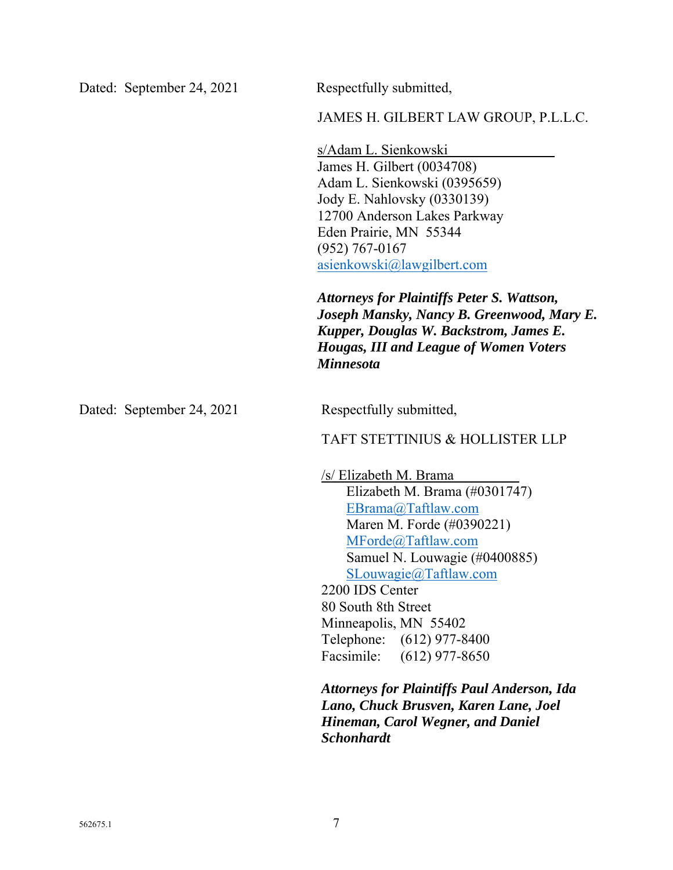JAMES H. GILBERT LAW GROUP, P.L.L.C.

s/Adam L. Sienkowski James H. Gilbert (0034708) Adam L. Sienkowski (0395659) Jody E. Nahlovsky (0330139) 12700 Anderson Lakes Parkway Eden Prairie, MN 55344 (952) 767-0167 asienkowski@lawgilbert.com

*Attorneys for Plaintiffs Peter S. Wattson, Joseph Mansky, Nancy B. Greenwood, Mary E. Kupper, Douglas W. Backstrom, James E. Hougas, III and League of Women Voters Minnesota* 

Dated: September 24, 2021 Respectfully submitted,

TAFT STETTINIUS & HOLLISTER LLP

/s/ Elizabeth M. Brama Elizabeth M. Brama (#0301747) EBrama@Taftlaw.com Maren M. Forde (#0390221) MForde@Taftlaw.com Samuel N. Louwagie (#0400885) SLouwagie@Taftlaw.com 2200 IDS Center 80 South 8th Street

Minneapolis, MN 55402 Telephone: (612) 977-8400 Facsimile: (612) 977-8650

*Attorneys for Plaintiffs Paul Anderson, Ida Lano, Chuck Brusven, Karen Lane, Joel Hineman, Carol Wegner, and Daniel Schonhardt*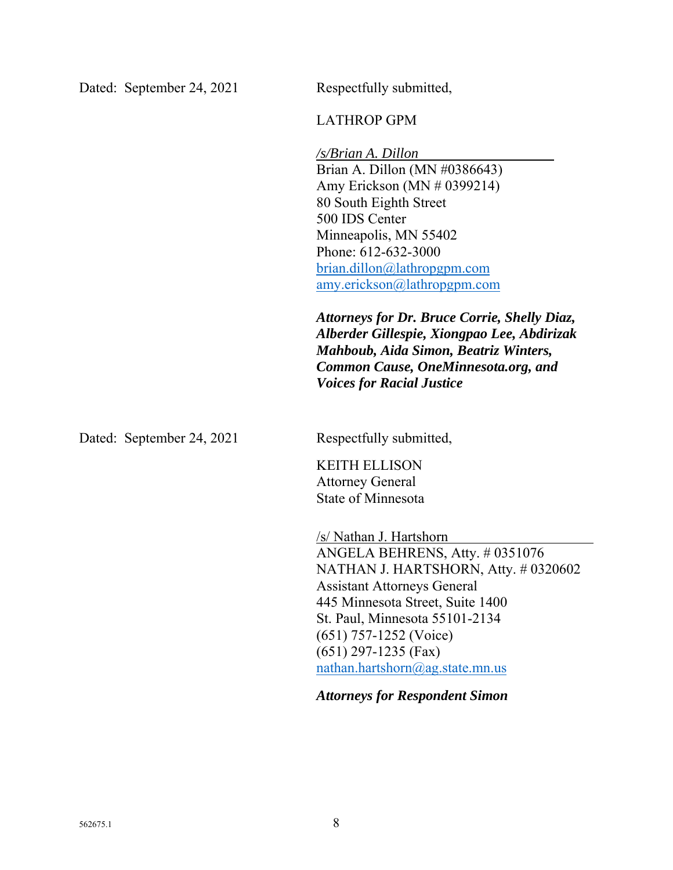## LATHROP GPM

*/s/Brian A. Dillon* Brian A. Dillon (MN #0386643) Amy Erickson (MN # 0399214) 80 South Eighth Street 500 IDS Center Minneapolis, MN 55402 Phone: 612-632-3000 brian.dillon@lathropgpm.com amy.erickson@lathropgpm.com *Attorneys for Dr. Bruce Corrie, Shelly Diaz, Alberder Gillespie, Xiongpao Lee, Abdirizak Mahboub, Aida Simon, Beatriz Winters, Common Cause, OneMinnesota.org, and Voices for Racial Justice*  Dated: September 24, 2021 Respectfully submitted, KEITH ELLISON Attorney General State of Minnesota /s/ Nathan J. Hartshorn ANGELA BEHRENS, Atty. # 0351076 NATHAN J. HARTSHORN, Atty. # 0320602 Assistant Attorneys General 445 Minnesota Street, Suite 1400 St. Paul, Minnesota 55101-2134 (651) 757-1252 (Voice) (651) 297-1235 (Fax) nathan.hartshorn@ag.state.mn.us

*Attorneys for Respondent Simon*